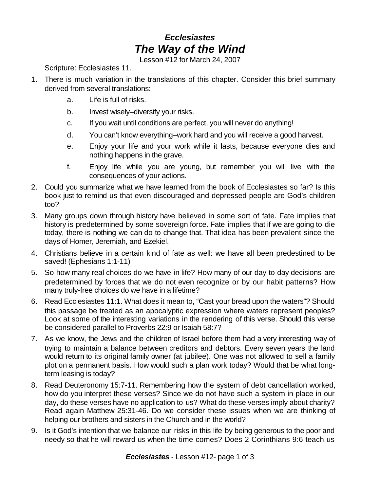## *Ecclesiastes The Way of the Wind*

Lesson #12 for March 24, 2007

Scripture: Ecclesiastes 11.

- 1. There is much variation in the translations of this chapter. Consider this brief summary derived from several translations:
	- a. Life is full of risks.
	- b. Invest wisely–diversify your risks.
	- c. If you wait until conditions are perfect, you will never do anything!
	- d. You can't know everything–work hard and you will receive a good harvest.
	- e. Enjoy your life and your work while it lasts, because everyone dies and nothing happens in the grave.
	- f. Enjoy life while you are young, but remember you will live with the consequences of your actions.
- 2. Could you summarize what we have learned from the book of Ecclesiastes so far? Is this book just to remind us that even discouraged and depressed people are God's children too?
- 3. Many groups down through history have believed in some sort of fate. Fate implies that history is predetermined by some sovereign force. Fate implies that if we are going to die today, there is nothing we can do to change that. That idea has been prevalent since the days of Homer, Jeremiah, and Ezekiel.
- 4. Christians believe in a certain kind of fate as well: we have all been predestined to be saved! (Ephesians 1:1-11)
- 5. So how many real choices do we have in life? How many of our day-to-day decisions are predetermined by forces that we do not even recognize or by our habit patterns? How many truly-free choices do we have in a lifetime?
- 6. Read Ecclesiastes 11:1. What does it mean to, "Cast your bread upon the waters"? Should this passage be treated as an apocalyptic expression where waters represent peoples? Look at some of the interesting variations in the rendering of this verse. Should this verse be considered parallel to Proverbs 22:9 or Isaiah 58:7?
- 7. As we know, the Jews and the children of Israel before them had a very interesting way of trying to maintain a balance between creditors and debtors. Every seven years the land would return to its original family owner (at jubilee). One was not allowed to sell a family plot on a permanent basis. How would such a plan work today? Would that be what longterm leasing is today?
- 8. Read Deuteronomy 15:7-11. Remembering how the system of debt cancellation worked, how do you interpret these verses? Since we do not have such a system in place in our day, do these verses have no application to us? What do these verses imply about charity? Read again Matthew 25:31-46. Do we consider these issues when we are thinking of helping our brothers and sisters in the Church and in the world?
- 9. Is it God's intention that we balance our risks in this life by being generous to the poor and needy so that he will reward us when the time comes? Does 2 Corinthians 9:6 teach us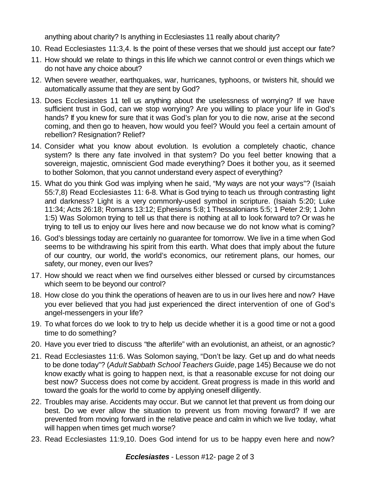anything about charity? Is anything in Ecclesiastes 11 really about charity?

- 10. Read Ecclesiastes 11:3,4. Is the point of these verses that we should just accept our fate?
- 11. How should we relate to things in this life which we cannot control or even things which we do not have any choice about?
- 12. When severe weather, earthquakes, war, hurricanes, typhoons, or twisters hit, should we automatically assume that they are sent by God?
- 13. Does Ecclesiastes 11 tell us anything about the uselessness of worrying? If we have sufficient trust in God, can we stop worrying? Are you willing to place your life in God's hands? If you knew for sure that it was God's plan for you to die now, arise at the second coming, and then go to heaven, how would you feel? Would you feel a certain amount of rebellion? Resignation? Relief?
- 14. Consider what you know about evolution. Is evolution a completely chaotic, chance system? Is there any fate involved in that system? Do you feel better knowing that a sovereign, majestic, omniscient God made everything? Does it bother you, as it seemed to bother Solomon, that you cannot understand every aspect of everything?
- 15. What do you think God was implying when he said, "My ways are not your ways"? (Isaiah 55:7,8) Read Ecclesiastes 11: 6-8. What is God trying to teach us through contrasting light and darkness? Light is a very commonly-used symbol in scripture. (Isaiah 5:20; Luke 11:34; Acts 26:18; Romans 13:12; Ephesians 5:8;1 Thessalonians 5:5; 1 Peter 2:9; 1 John 1:5) Was Solomon trying to tell us that there is nothing at all to look forward to? Or was he trying to tell us to enjoy our lives here and now because we do not know what is coming?
- 16. God's blessings today are certainly no guarantee for tomorrow. We live in a time when God seems to be withdrawing his spirit from this earth. What does that imply about the future of our country, our world, the world's economics, our retirement plans, our homes, our safety, our money, even our lives?
- 17. How should we react when we find ourselves either blessed or cursed by circumstances which seem to be beyond our control?
- 18. How close do you think the operations of heaven are to us in our lives here and now? Have you ever believed that you had just experienced the direct intervention of one of God's angel-messengers in your life?
- 19. To what forces do we look to try to help us decide whether it is a good time or not a good time to do something?
- 20. Have you ever tried to discuss "the afterlife" with an evolutionist, an atheist, or an agnostic?
- 21. Read Ecclesiastes 11:6. Was Solomon saying, "Don't be lazy. Get up and do what needs to be done today"? (*AdultSabbath School Teachers Guide*, page 145) Because we do not know exactly what is going to happen next, is that a reasonable excuse for not doing our best now? Success does not come by accident. Great progress is made in this world and toward the goals for the world to come by applying oneself diligently.
- 22. Troubles may arise. Accidents may occur. But we cannot let that prevent us from doing our best. Do we ever allow the situation to prevent us from moving forward? If we are prevented from moving forward in the relative peace and calm in which we live today, what will happen when times get much worse?
- 23. Read Ecclesiastes 11:9,10. Does God intend for us to be happy even here and now?